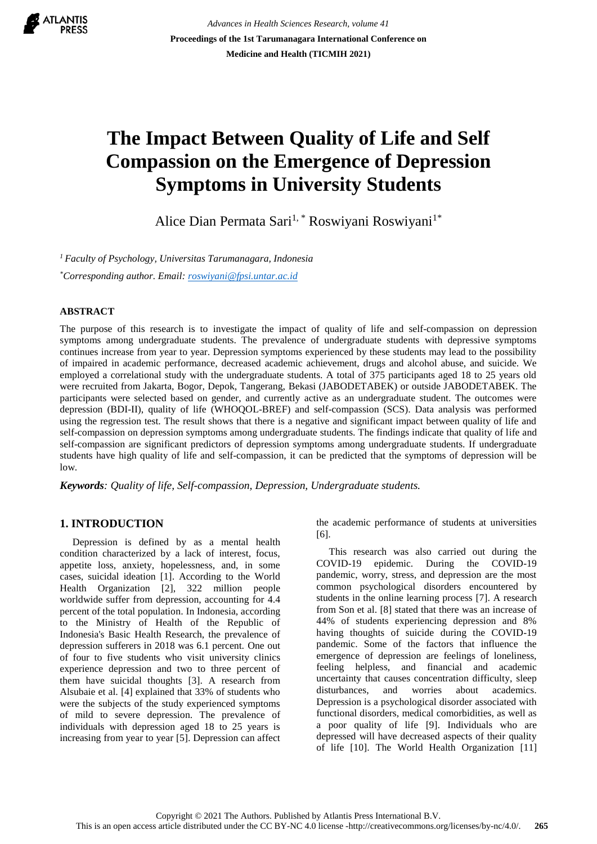**ATLANTIS** 

*Advances in Health Sciences Research, volume 41* **Proceedings of the 1st Tarumanagara International Conference on Medicine and Health (TICMIH 2021)**

# **The Impact Between Quality of Life and Self Compassion on the Emergence of Depression Symptoms in University Students**

Alice Dian Permata Sari<sup>1,\*</sup> Roswiyani Roswiyani<sup>1\*</sup>

*<sup>1</sup>Faculty of Psychology, Universitas Tarumanagara, Indonesia \*Corresponding author. Email: [roswiyani@fpsi.untar.ac.id](mailto:roswiyani@fpsi.untar.ac.id)*

## **ABSTRACT**

The purpose of this research is to investigate the impact of quality of life and self-compassion on depression symptoms among undergraduate students. The prevalence of undergraduate students with depressive symptoms continues increase from year to year. Depression symptoms experienced by these students may lead to the possibility of impaired in academic performance, decreased academic achievement, drugs and alcohol abuse, and suicide. We employed a correlational study with the undergraduate students. A total of 375 participants aged 18 to 25 years old were recruited from Jakarta, Bogor, Depok, Tangerang, Bekasi (JABODETABEK) or outside JABODETABEK. The participants were selected based on gender, and currently active as an undergraduate student. The outcomes were depression (BDI-II), quality of life (WHOQOL-BREF) and self-compassion (SCS). Data analysis was performed using the regression test. The result shows that there is a negative and significant impact between quality of life and self-compassion on depression symptoms among undergraduate students. The findings indicate that quality of life and self-compassion are significant predictors of depression symptoms among undergraduate students. If undergraduate students have high quality of life and self-compassion, it can be predicted that the symptoms of depression will be low.

*Keywords: Quality of life, Self-compassion, Depression, Undergraduate students.*

# **1. INTRODUCTION**

 Depression is defined by as a mental health condition characterized by a lack of interest, focus, appetite loss, anxiety, hopelessness, and, in some cases, suicidal ideation [1]. According to the World Health Organization [2], 322 million people worldwide suffer from depression, accounting for 4.4 percent of the total population. In Indonesia, according to the Ministry of Health of the Republic of Indonesia's Basic Health Research, the prevalence of depression sufferers in 2018 was 6.1 percent. One out of four to five students who visit university clinics experience depression and two to three percent of them have suicidal thoughts [3]. A research from Alsubaie et al. [4] explained that 33% of students who were the subjects of the study experienced symptoms of mild to severe depression. The prevalence of individuals with depression aged 18 to 25 years is increasing from year to year [5]. Depression can affect

the academic performance of students at universities [6].

 This research was also carried out during the COVID-19 epidemic. During the COVID-19 pandemic, worry, stress, and depression are the most common psychological disorders encountered by students in the online learning process [7]. A research from Son et al. [8] stated that there was an increase of 44% of students experiencing depression and 8% having thoughts of suicide during the COVID-19 pandemic. Some of the factors that influence the emergence of depression are feelings of loneliness, feeling helpless, and financial and academic uncertainty that causes concentration difficulty, sleep disturbances, and worries about academics. Depression is a psychological disorder associated with functional disorders, medical comorbidities, as well as a poor quality of life [9]. Individuals who are depressed will have decreased aspects of their quality of life [10]. The World Health Organization [11]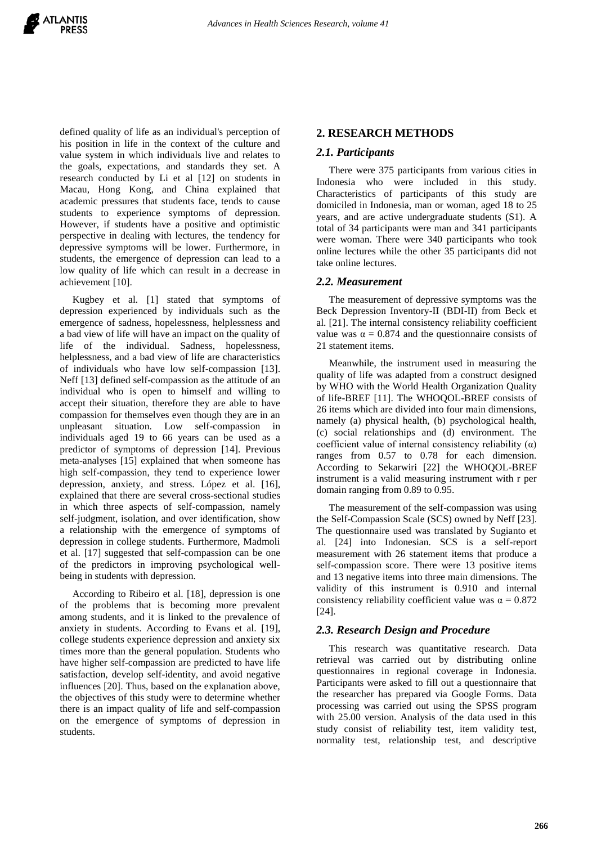defined quality of life as an individual's perception of his position in life in the context of the culture and value system in which individuals live and relates to the goals, expectations, and standards they set. A research conducted by Li et al [12] on students in Macau, Hong Kong, and China explained that academic pressures that students face, tends to cause students to experience symptoms of depression. However, if students have a positive and optimistic perspective in dealing with lectures, the tendency for depressive symptoms will be lower. Furthermore, in students, the emergence of depression can lead to a low quality of life which can result in a decrease in achievement [10].

 Kugbey et al. [1] stated that symptoms of depression experienced by individuals such as the emergence of sadness, hopelessness, helplessness and a bad view of life will have an impact on the quality of life of the individual. Sadness, hopelessness, helplessness, and a bad view of life are characteristics of individuals who have low self-compassion [13]. Neff [13] defined self-compassion as the attitude of an individual who is open to himself and willing to accept their situation, therefore they are able to have compassion for themselves even though they are in an unpleasant situation. Low self-compassion in individuals aged 19 to 66 years can be used as a predictor of symptoms of depression [14]. Previous meta-analyses [15] explained that when someone has high self-compassion, they tend to experience lower depression, anxiety, and stress. López et al. [16], explained that there are several cross-sectional studies in which three aspects of self-compassion, namely self-judgment, isolation, and over identification, show a relationship with the emergence of symptoms of depression in college students. Furthermore, Madmoli et al. [17] suggested that self-compassion can be one of the predictors in improving psychological wellbeing in students with depression.

 According to Ribeiro et al. [18], depression is one of the problems that is becoming more prevalent among students, and it is linked to the prevalence of anxiety in students. According to Evans et al. [19], college students experience depression and anxiety six times more than the general population. Students who have higher self-compassion are predicted to have life satisfaction, develop self-identity, and avoid negative influences [20]. Thus, based on the explanation above, the objectives of this study were to determine whether there is an impact quality of life and self-compassion on the emergence of symptoms of depression in students.

### **2. RESEARCH METHODS**

#### *2.1. Participants*

 There were 375 participants from various cities in Indonesia who were included in this study. Characteristics of participants of this study are domiciled in Indonesia, man or woman, aged 18 to 25 years, and are active undergraduate students (S1). A total of 34 participants were man and 341 participants were woman. There were 340 participants who took online lectures while the other 35 participants did not take online lectures.

#### *2.2. Measurement*

 The measurement of depressive symptoms was the Beck Depression Inventory-II (BDI-II) from Beck et al. [21]. The internal consistency reliability coefficient value was  $\alpha = 0.874$  and the questionnaire consists of 21 statement items.

 Meanwhile, the instrument used in measuring the quality of life was adapted from a construct designed by WHO with the World Health Organization Quality of life-BREF [11]. The WHOQOL-BREF consists of 26 items which are divided into four main dimensions, namely (a) physical health, (b) psychological health, (c) social relationships and (d) environment. The coefficient value of internal consistency reliability  $(\alpha)$ ranges from 0.57 to 0.78 for each dimension. According to Sekarwiri [22] the WHOQOL-BREF instrument is a valid measuring instrument with r per domain ranging from 0.89 to 0.95.

 The measurement of the self-compassion was using the Self-Compassion Scale (SCS) owned by Neff [23]. The questionnaire used was translated by Sugianto et al. [24] into Indonesian. SCS is a self-report measurement with 26 statement items that produce a self-compassion score. There were 13 positive items and 13 negative items into three main dimensions. The validity of this instrument is 0.910 and internal consistency reliability coefficient value was  $\alpha = 0.872$ [24].

## *2.3. Research Design and Procedure*

 This research was quantitative research. Data retrieval was carried out by distributing online questionnaires in regional coverage in Indonesia. Participants were asked to fill out a questionnaire that the researcher has prepared via Google Forms. Data processing was carried out using the SPSS program with 25.00 version. Analysis of the data used in this study consist of reliability test, item validity test, normality test, relationship test, and descriptive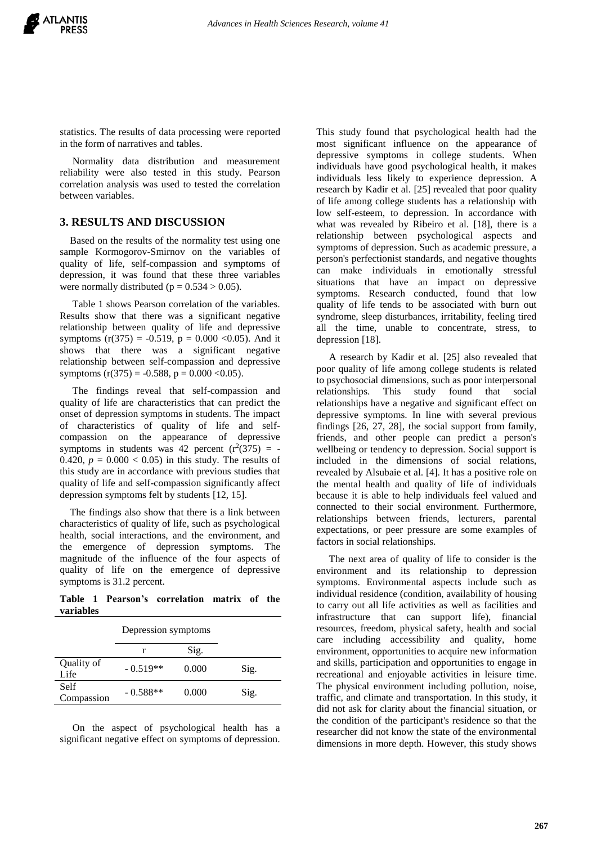statistics. The results of data processing were reported in the form of narratives and tables.

 Normality data distribution and measurement reliability were also tested in this study. Pearson correlation analysis was used to tested the correlation between variables.

## **3. RESULTS AND DISCUSSION**

 Based on the results of the normality test using one sample Kormogorov-Smirnov on the variables of quality of life, self-compassion and symptoms of depression, it was found that these three variables were normally distributed ( $p = 0.534 > 0.05$ ).

 Table 1 shows Pearson correlation of the variables. Results show that there was a significant negative relationship between quality of life and depressive symptoms  $(r(375) = -0.519, p = 0.000 < 0.05)$ . And it shows that there was a significant negative relationship between self-compassion and depressive symptoms  $(r(375) = -0.588, p = 0.000 < 0.05)$ .

 The findings reveal that self-compassion and quality of life are characteristics that can predict the onset of depression symptoms in students. The impact of characteristics of quality of life and selfcompassion on the appearance of depressive symptoms in students was 42 percent  $(r<sup>2</sup>(375)) = -$ 0.420,  $p = 0.000 < 0.05$ ) in this study. The results of this study are in accordance with previous studies that quality of life and self-compassion significantly affect depression symptoms felt by students [12, 15].

 The findings also show that there is a link between characteristics of quality of life, such as psychological health, social interactions, and the environment, and the emergence of depression symptoms. The magnitude of the influence of the four aspects of quality of life on the emergence of depressive symptoms is 31.2 percent.

**Table 1 Pearson's correlation matrix of the variables**

|                    | Depression symptoms |       |      |
|--------------------|---------------------|-------|------|
|                    | r                   | Sig.  |      |
| Quality of<br>Life | $-0.519**$          | 0.000 | Sig. |
| Self<br>Compassion | $-0.588**$          | 0.000 | Sig. |
|                    |                     |       |      |

 On the aspect of psychological health has a significant negative effect on symptoms of depression.

This study found that psychological health had the most significant influence on the appearance of depressive symptoms in college students. When individuals have good psychological health, it makes individuals less likely to experience depression. A research by Kadir et al. [25] revealed that poor quality of life among college students has a relationship with low self-esteem, to depression. In accordance with what was revealed by Ribeiro et al. [18], there is a relationship between psychological aspects and symptoms of depression. Such as academic pressure, a person's perfectionist standards, and negative thoughts can make individuals in emotionally stressful situations that have an impact on depressive symptoms. Research conducted, found that low quality of life tends to be associated with burn out syndrome, sleep disturbances, irritability, feeling tired all the time, unable to concentrate, stress, to depression [18].

 A research by Kadir et al. [25] also revealed that poor quality of life among college students is related to psychosocial dimensions, such as poor interpersonal relationships. This study found that social relationships have a negative and significant effect on depressive symptoms. In line with several previous findings [26, 27, 28], the social support from family, friends, and other people can predict a person's wellbeing or tendency to depression. Social support is included in the dimensions of social relations, revealed by Alsubaie et al. [4]. It has a positive role on the mental health and quality of life of individuals because it is able to help individuals feel valued and connected to their social environment. Furthermore, relationships between friends, lecturers, parental expectations, or peer pressure are some examples of factors in social relationships.

 The next area of quality of life to consider is the environment and its relationship to depression symptoms. Environmental aspects include such as individual residence (condition, availability of housing to carry out all life activities as well as facilities and infrastructure that can support life), financial resources, freedom, physical safety, health and social care including accessibility and quality, home environment, opportunities to acquire new information and skills, participation and opportunities to engage in recreational and enjoyable activities in leisure time. The physical environment including pollution, noise, traffic, and climate and transportation. In this study, it did not ask for clarity about the financial situation, or the condition of the participant's residence so that the researcher did not know the state of the environmental dimensions in more depth. However, this study shows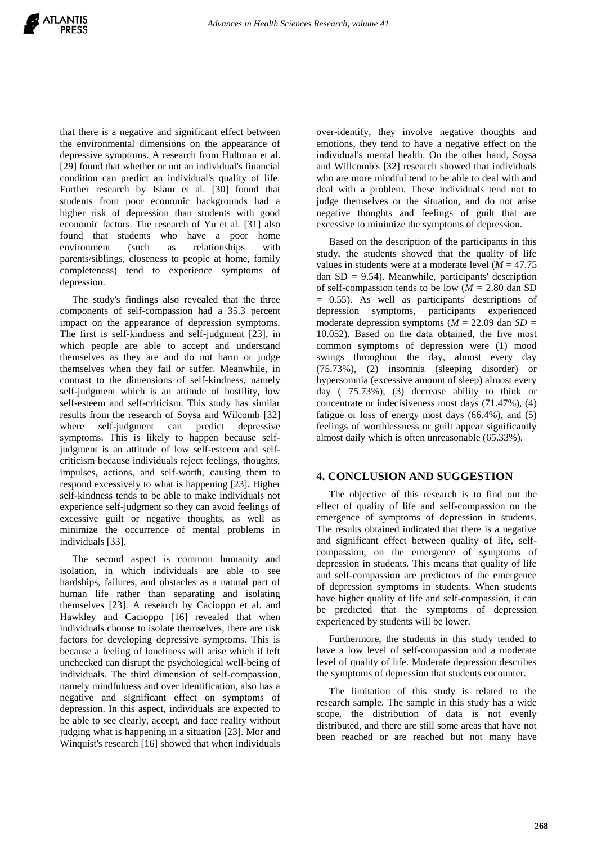that there is a negative and significant effect between the environmental dimensions on the appearance of depressive symptoms. A research from Hultman et al. [29] found that whether or not an individual's financial condition can predict an individual's quality of life. Further research by Islam et al. [30] found that students from poor economic backgrounds had a higher risk of depression than students with good economic factors. The research of Yu et al. [31] also found that students who have a poor home environment (such as relationships with parents/siblings, closeness to people at home, family completeness) tend to experience symptoms of depression.

 The study's findings also revealed that the three components of self-compassion had a 35.3 percent impact on the appearance of depression symptoms. The first is self-kindness and self-judgment [23], in which people are able to accept and understand themselves as they are and do not harm or judge themselves when they fail or suffer. Meanwhile, in contrast to the dimensions of self-kindness, namely self-judgment which is an attitude of hostility, low self-esteem and self-criticism. This study has similar results from the research of Soysa and Wilcomb [32] where self-judgment can predict depressive symptoms. This is likely to happen because selfjudgment is an attitude of low self-esteem and selfcriticism because individuals reject feelings, thoughts, impulses, actions, and self-worth, causing them to respond excessively to what is happening [23]. Higher self-kindness tends to be able to make individuals not experience self-judgment so they can avoid feelings of excessive guilt or negative thoughts, as well as minimize the occurrence of mental problems in individuals [33].

 The second aspect is common humanity and isolation, in which individuals are able to see hardships, failures, and obstacles as a natural part of human life rather than separating and isolating themselves [23]. A research by Cacioppo et al. and Hawkley and Cacioppo [16] revealed that when individuals choose to isolate themselves, there are risk factors for developing depressive symptoms. This is because a feeling of loneliness will arise which if left unchecked can disrupt the psychological well-being of individuals. The third dimension of self-compassion, namely mindfulness and over identification, also has a negative and significant effect on symptoms of depression. In this aspect, individuals are expected to be able to see clearly, accept, and face reality without judging what is happening in a situation [23]. Mor and Winquist's research [16] showed that when individuals

over-identify, they involve negative thoughts and emotions, they tend to have a negative effect on the individual's mental health. On the other hand, Soysa and Willcomb's [32] research showed that individuals who are more mindful tend to be able to deal with and deal with a problem. These individuals tend not to judge themselves or the situation, and do not arise negative thoughts and feelings of guilt that are excessive to minimize the symptoms of depression.

 Based on the description of the participants in this study, the students showed that the quality of life values in students were at a moderate level  $(M = 47.75)$ dan  $SD = 9.54$ ). Meanwhile, participants' description of self-compassion tends to be low (*M =* 2.80 dan SD = 0.55). As well as participants' descriptions of depression symptoms, participants experienced moderate depression symptoms (*M* = 22.09 dan *SD =* 10.052). Based on the data obtained, the five most common symptoms of depression were (1) mood swings throughout the day, almost every day (75.73%), (2) insomnia (sleeping disorder) or hypersomnia (excessive amount of sleep) almost every day ( 75.73%), (3) decrease ability to think or concentrate or indecisiveness most days (71.47%), (4) fatigue or loss of energy most days (66.4%), and (5) feelings of worthlessness or guilt appear significantly almost daily which is often unreasonable (65.33%).

# **4. CONCLUSION AND SUGGESTION**

 The objective of this research is to find out the effect of quality of life and self-compassion on the emergence of symptoms of depression in students. The results obtained indicated that there is a negative and significant effect between quality of life, selfcompassion, on the emergence of symptoms of depression in students. This means that quality of life and self-compassion are predictors of the emergence of depression symptoms in students. When students have higher quality of life and self-compassion, it can be predicted that the symptoms of depression experienced by students will be lower.

 Furthermore, the students in this study tended to have a low level of self-compassion and a moderate level of quality of life. Moderate depression describes the symptoms of depression that students encounter.

 The limitation of this study is related to the research sample. The sample in this study has a wide scope, the distribution of data is not evenly distributed, and there are still some areas that have not been reached or are reached but not many have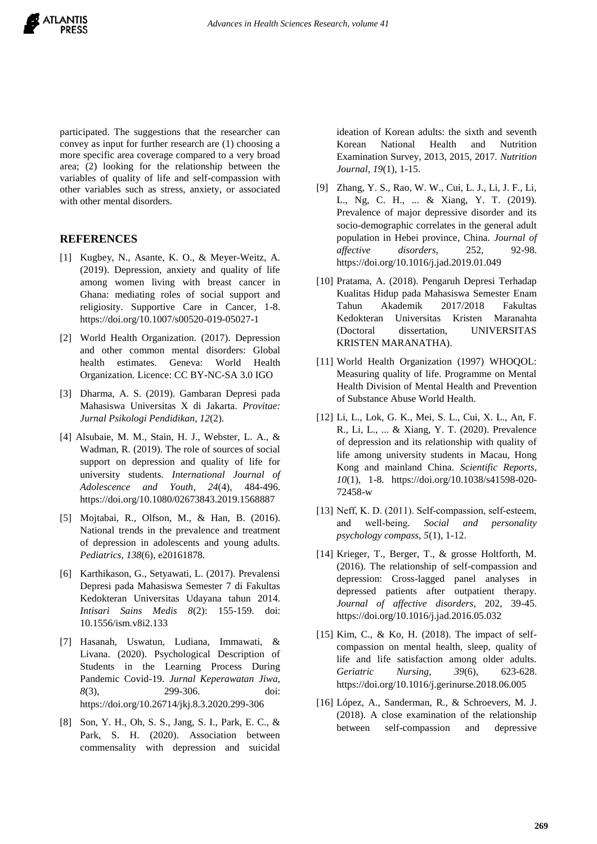participated. The suggestions that the researcher can convey as input for further research are (1) choosing a more specific area coverage compared to a very broad area; (2) looking for the relationship between the variables of quality of life and self-compassion with other variables such as stress, anxiety, or associated with other mental disorders.

## **REFERENCES**

- [1] Kugbey, N., Asante, K. O., & Meyer-Weitz, A. (2019). Depression, anxiety and quality of life among women living with breast cancer in Ghana: mediating roles of social support and religiosity. Supportive Care in Cancer, 1-8. https://doi.org/10.1007/s00520-019-05027-1
- [2] World Health Organization. (2017). Depression and other common mental disorders: Global health estimates. Geneva: World Health Organization. Licence: CC BY-NC-SA 3.0 IGO
- [3] Dharma, A. S. (2019). Gambaran Depresi pada Mahasiswa Universitas X di Jakarta. *Provitae: Jurnal Psikologi Pendidikan*, *12*(2).
- [4] Alsubaie, M. M., Stain, H. J., Webster, L. A., & Wadman, R. (2019). The role of sources of social support on depression and quality of life for university students. *International Journal of Adolescence and Youth*, *24*(4), 484-496. https://doi.org/10.1080/02673843.2019.1568887
- [5] Mojtabai, R., Olfson, M., & Han, B. (2016). National trends in the prevalence and treatment of depression in adolescents and young adults. *Pediatrics*, *138*(6), e20161878.
- [6] Karthikason, G., Setyawati, L. (2017). Prevalensi Depresi pada Mahasiswa Semester 7 di Fakultas Kedokteran Universitas Udayana tahun 2014. *Intisari Sains Medis 8*(2): 155-159. doi: 10.1556/ism.v8i2.133
- [7] Hasanah, Uswatun, Ludiana, Immawati, & Livana. (2020). Psychological Description of Students in the Learning Process During Pandemic Covid-19. *Jurnal Keperawatan Jiwa*, *8*(3), 299-306. doi: https://doi.org/10.26714/jkj.8.3.2020.299-306
- [8] Son, Y. H., Oh, S. S., Jang, S. I., Park, E. C., & Park, S. H. (2020). Association between commensality with depression and suicidal

ideation of Korean adults: the sixth and seventh Korean National Health and Nutrition Examination Survey, 2013, 2015, 2017*. Nutrition Journal, 19*(1), 1-15.

- [9] Zhang, Y. S., Rao, W. W., Cui, L. J., Li, J. F., Li, L., Ng, C. H., ... & Xiang, Y. T. (2019). Prevalence of major depressive disorder and its socio-demographic correlates in the general adult population in Hebei province, China. *Journal of affective disorders*, 252, 92-98. https://doi.org/10.1016/j.jad.2019.01.049
- [10] Pratama, A. (2018). Pengaruh Depresi Terhadap Kualitas Hidup pada Mahasiswa Semester Enam Tahun Akademik 2017/2018 Fakultas Kedokteran Universitas Kristen Maranahta (Doctoral dissertation, UNIVERSITAS KRISTEN MARANATHA).
- [11] World Health Organization (1997) WHOQOL: Measuring quality of life. Programme on Mental Health Division of Mental Health and Prevention of Substance Abuse World Health.
- [12] Li, L., Lok, G. K., Mei, S. L., Cui, X. L., An, F. R., Li, L., ... & Xiang, Y. T. (2020). Prevalence of depression and its relationship with quality of life among university students in Macau, Hong Kong and mainland China. *Scientific Reports*, *10*(1), 1-8. https://doi.org/10.1038/s41598-020- 72458-w
- [13] Neff, K. D. (2011). Self-compassion, self-esteem, and well‐being*. Social and personality psychology compass, 5*(1), 1-12.
- [14] Krieger, T., Berger, T., & grosse Holtforth, M. (2016). The relationship of self-compassion and depression: Cross-lagged panel analyses in depressed patients after outpatient therapy. *Journal of affective disorders*, 202, 39-45. https://doi.org/10.1016/j.jad.2016.05.032
- [15] Kim, C., & Ko, H. (2018). The impact of selfcompassion on mental health, sleep, quality of life and life satisfaction among older adults. *Geriatric Nursing*, *39*(6), 623-628. https://doi.org/10.1016/j.gerinurse.2018.06.005
- [16] López, A., Sanderman, R., & Schroevers, M. J. (2018). A close examination of the relationship between self-compassion and depressive